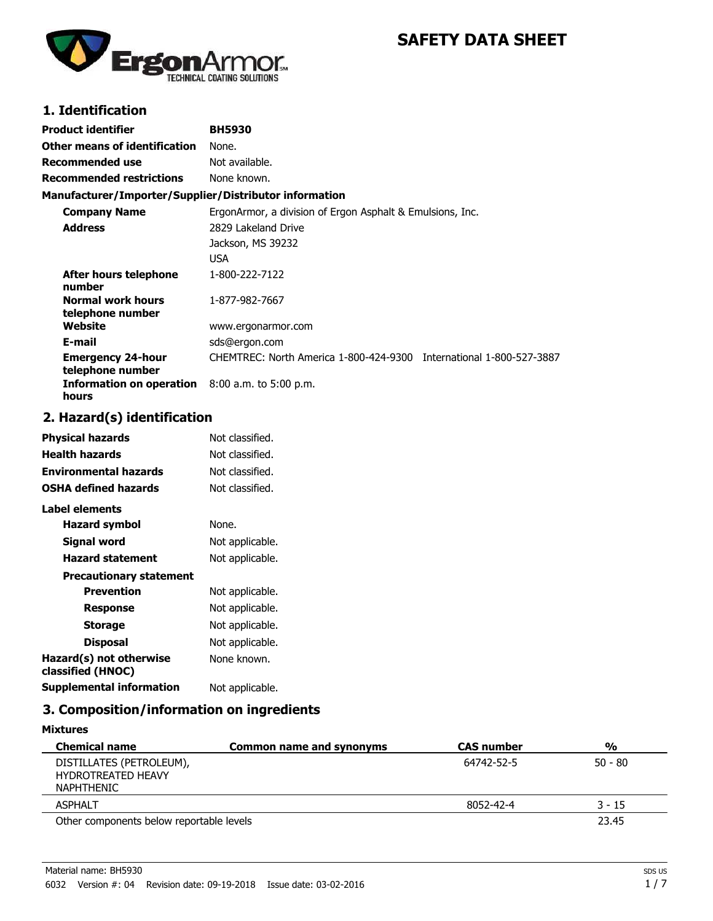

# **SAFETY DATA SHEET**

### **1. Identification**

| Product identifier                                     | <b>BH5930</b>                                                       |
|--------------------------------------------------------|---------------------------------------------------------------------|
| Other means of identification                          | None.                                                               |
| Recommended use                                        | Not available.                                                      |
| <b>Recommended restrictions</b>                        | None known.                                                         |
| Manufacturer/Importer/Supplier/Distributor information |                                                                     |
| <b>Company Name</b>                                    | ErgonArmor, a division of Ergon Asphalt & Emulsions, Inc.           |
| <b>Address</b>                                         | 2829 Lakeland Drive                                                 |
|                                                        | Jackson, MS 39232                                                   |
|                                                        | <b>USA</b>                                                          |
| After hours telephone<br>number                        | 1-800-222-7122                                                      |
| <b>Normal work hours</b><br>telephone number           | 1-877-982-7667                                                      |
| Website                                                | www.ergonarmor.com                                                  |
| E-mail                                                 | sds@ergon.com                                                       |
| <b>Emergency 24-hour</b><br>telephone number           | CHEMTREC: North America 1-800-424-9300 International 1-800-527-3887 |
| Information on operation<br>hours                      | $8:00$ a.m. to 5:00 p.m.                                            |

### **2. Hazard(s) identification**

| Physical hazards                             | Not classified. |
|----------------------------------------------|-----------------|
| <b>Health hazards</b>                        | Not classified. |
| <b>Environmental hazards</b>                 | Not classified. |
| <b>OSHA defined hazards</b>                  | Not classified. |
| Label elements                               |                 |
| Hazard symbol                                | None.           |
| Signal word                                  | Not applicable. |
| <b>Hazard statement</b>                      | Not applicable. |
| <b>Precautionary statement</b>               |                 |
| <b>Prevention</b>                            | Not applicable. |
| Response                                     | Not applicable. |
| <b>Storage</b>                               | Not applicable. |
| <b>Disposal</b>                              | Not applicable. |
| Hazard(s) not otherwise<br>classified (HNOC) | None known.     |
| <b>Supplemental information</b>              | Not applicable. |

### **3. Composition/information on ingredients**

| <b>Mixtures</b>                                                     |                          |                   |               |
|---------------------------------------------------------------------|--------------------------|-------------------|---------------|
| <b>Chemical name</b>                                                | Common name and synonyms | <b>CAS number</b> | $\frac{0}{0}$ |
| DISTILLATES (PETROLEUM),<br><b>HYDROTREATED HEAVY</b><br>NAPHTHENIC |                          | 64742-52-5        | $50 - 80$     |
| <b>ASPHALT</b>                                                      |                          | 8052-42-4         | $3 - 15$      |
| Other components below reportable levels                            |                          |                   | 23.45         |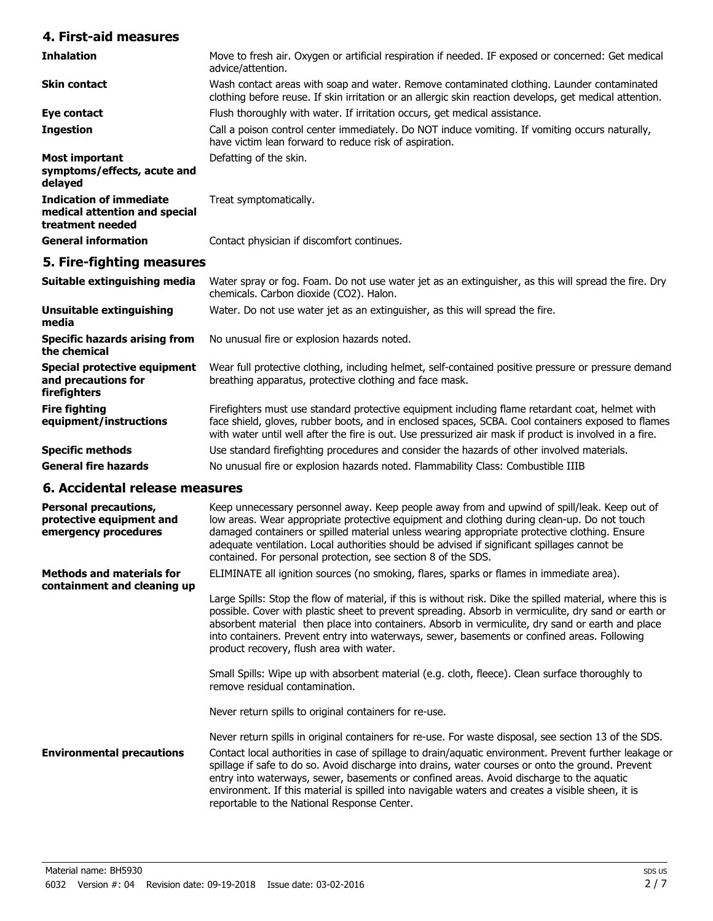### **4. First-aid measures**

| <b>Inhalation</b>                                                                   | Move to fresh air. Oxygen or artificial respiration if needed. IF exposed or concerned: Get medical<br>advice/attention.                                                                              |
|-------------------------------------------------------------------------------------|-------------------------------------------------------------------------------------------------------------------------------------------------------------------------------------------------------|
| <b>Skin contact</b>                                                                 | Wash contact areas with soap and water. Remove contaminated clothing. Launder contaminated<br>clothing before reuse. If skin irritation or an allergic skin reaction develops, get medical attention. |
| Eye contact                                                                         | Flush thoroughly with water. If irritation occurs, get medical assistance.                                                                                                                            |
| <b>Ingestion</b>                                                                    | Call a poison control center immediately. Do NOT induce vomiting. If vomiting occurs naturally,<br>have victim lean forward to reduce risk of aspiration.                                             |
| Most important<br>symptoms/effects, acute and<br>delayed                            | Defatting of the skin.                                                                                                                                                                                |
| <b>Indication of immediate</b><br>medical attention and special<br>treatment needed | Treat symptomatically.                                                                                                                                                                                |
| <b>General information</b>                                                          | Contact physician if discomfort continues.                                                                                                                                                            |

### **5. Fire-fighting measures**

| Suitable extinguishing media                                        | Water spray or fog. Foam. Do not use water jet as an extinguisher, as this will spread the fire. Dry<br>chemicals. Carbon dioxide (CO2). Halon.                                                                                                                                                                  |
|---------------------------------------------------------------------|------------------------------------------------------------------------------------------------------------------------------------------------------------------------------------------------------------------------------------------------------------------------------------------------------------------|
| <b>Unsuitable extinguishing</b><br>media                            | Water. Do not use water jet as an extinguisher, as this will spread the fire.                                                                                                                                                                                                                                    |
| <b>Specific hazards arising from</b><br>the chemical                | No unusual fire or explosion hazards noted.                                                                                                                                                                                                                                                                      |
| Special protective equipment<br>and precautions for<br>firefighters | Wear full protective clothing, including helmet, self-contained positive pressure or pressure demand<br>breathing apparatus, protective clothing and face mask.                                                                                                                                                  |
| <b>Fire fighting</b><br>equipment/instructions                      | Firefighters must use standard protective equipment including flame retardant coat, helmet with<br>face shield, gloves, rubber boots, and in enclosed spaces, SCBA. Cool containers exposed to flames<br>with water until well after the fire is out. Use pressurized air mask if product is involved in a fire. |
| <b>Specific methods</b>                                             | Use standard firefighting procedures and consider the hazards of other involved materials.                                                                                                                                                                                                                       |
| <b>General fire hazards</b>                                         | No unusual fire or explosion hazards noted. Flammability Class: Combustible IIIB                                                                                                                                                                                                                                 |

#### **6. Accidental release measures**

| <b>Personal precautions,</b><br>protective equipment and<br>emergency procedures | Keep unnecessary personnel away. Keep people away from and upwind of spill/leak. Keep out of<br>low areas. Wear appropriate protective equipment and clothing during clean-up. Do not touch<br>damaged containers or spilled material unless wearing appropriate protective clothing. Ensure<br>adequate ventilation. Local authorities should be advised if significant spillages cannot be<br>contained. For personal protection, see section 8 of the SDS.                                                                                                        |
|----------------------------------------------------------------------------------|----------------------------------------------------------------------------------------------------------------------------------------------------------------------------------------------------------------------------------------------------------------------------------------------------------------------------------------------------------------------------------------------------------------------------------------------------------------------------------------------------------------------------------------------------------------------|
| <b>Methods and materials for</b><br>containment and cleaning up                  | ELIMINATE all ignition sources (no smoking, flares, sparks or flames in immediate area).<br>Large Spills: Stop the flow of material, if this is without risk. Dike the spilled material, where this is<br>possible. Cover with plastic sheet to prevent spreading. Absorb in vermiculite, dry sand or earth or<br>absorbent material then place into containers. Absorb in vermiculite, dry sand or earth and place<br>into containers. Prevent entry into waterways, sewer, basements or confined areas. Following<br>product recovery, flush area with water.      |
|                                                                                  | Small Spills: Wipe up with absorbent material (e.g. cloth, fleece). Clean surface thoroughly to<br>remove residual contamination.<br>Never return spills to original containers for re-use.                                                                                                                                                                                                                                                                                                                                                                          |
| <b>Environmental precautions</b>                                                 | Never return spills in original containers for re-use. For waste disposal, see section 13 of the SDS.<br>Contact local authorities in case of spillage to drain/aquatic environment. Prevent further leakage or<br>spillage if safe to do so. Avoid discharge into drains, water courses or onto the ground. Prevent<br>entry into waterways, sewer, basements or confined areas. Avoid discharge to the aquatic<br>environment. If this material is spilled into navigable waters and creates a visible sheen, it is<br>reportable to the National Response Center. |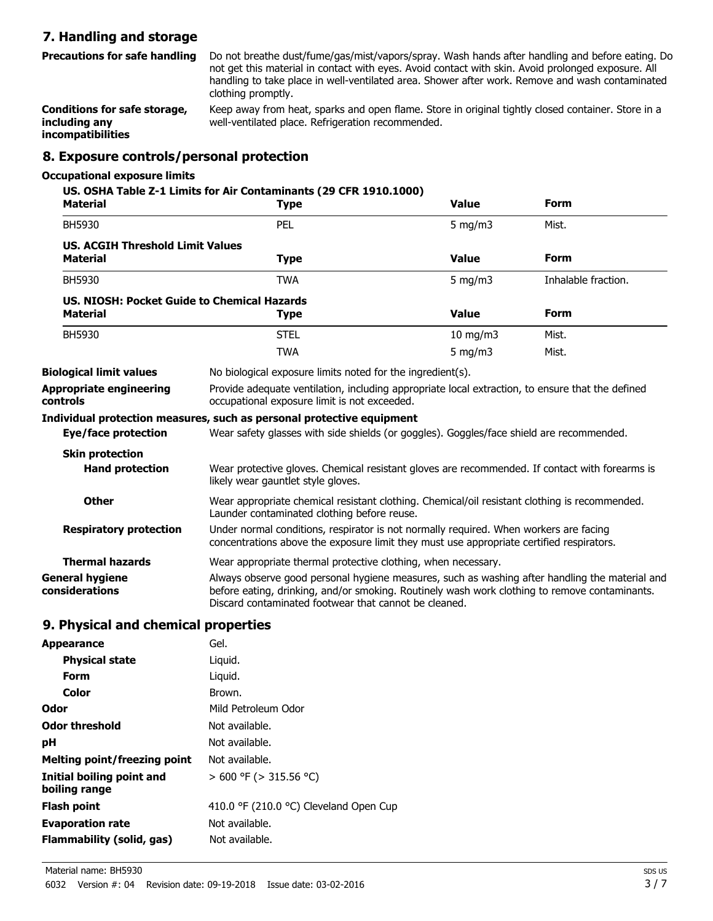### **7. Handling and storage**

Do not breathe dust/fume/gas/mist/vapors/spray. Wash hands after handling and before eating. Do not get this material in contact with eyes. Avoid contact with skin. Avoid prolonged exposure. All handling to take place in well-ventilated area. Shower after work. Remove and wash contaminated clothing promptly. **Precautions for safe handling**

Keep away from heat, sparks and open flame. Store in original tightly closed container. Store in a well-ventilated place. Refrigeration recommended. **Conditions for safe storage, including any incompatibilities**

### **8. Exposure controls/personal protection**

#### **Occupational exposure limits**

| <b>Material</b>                                                | US. OSHA Table Z-1 Limits for Air Contaminants (29 CFR 1910.1000)<br><b>Type</b>                                                                                                                                                                         | <b>Value</b>  | <b>Form</b>         |
|----------------------------------------------------------------|----------------------------------------------------------------------------------------------------------------------------------------------------------------------------------------------------------------------------------------------------------|---------------|---------------------|
| BH5930                                                         | PEL                                                                                                                                                                                                                                                      | $5$ mg/m $3$  | Mist.               |
| <b>US. ACGIH Threshold Limit Values</b><br><b>Material</b>     | <b>Type</b>                                                                                                                                                                                                                                              | <b>Value</b>  | <b>Form</b>         |
| <b>BH5930</b>                                                  | <b>TWA</b>                                                                                                                                                                                                                                               | 5 mg/m $3$    | Inhalable fraction. |
| US. NIOSH: Pocket Guide to Chemical Hazards<br><b>Material</b> | <b>Type</b>                                                                                                                                                                                                                                              | <b>Value</b>  | <b>Form</b>         |
| <b>BH5930</b>                                                  | <b>STEL</b>                                                                                                                                                                                                                                              | $10$ mg/m $3$ | Mist.               |
|                                                                | <b>TWA</b>                                                                                                                                                                                                                                               | 5 mg/m $3$    | Mist.               |
| <b>Biological limit values</b>                                 | No biological exposure limits noted for the ingredient(s).                                                                                                                                                                                               |               |                     |
| Appropriate engineering<br>controls                            | Provide adequate ventilation, including appropriate local extraction, to ensure that the defined<br>occupational exposure limit is not exceeded.                                                                                                         |               |                     |
|                                                                | Individual protection measures, such as personal protective equipment                                                                                                                                                                                    |               |                     |
| Eye/face protection                                            | Wear safety glasses with side shields (or goggles). Goggles/face shield are recommended.                                                                                                                                                                 |               |                     |
| <b>Skin protection</b>                                         |                                                                                                                                                                                                                                                          |               |                     |
| <b>Hand protection</b>                                         | Wear protective gloves. Chemical resistant gloves are recommended. If contact with forearms is<br>likely wear gauntlet style gloves.                                                                                                                     |               |                     |
| <b>Other</b>                                                   | Wear appropriate chemical resistant clothing. Chemical/oil resistant clothing is recommended.<br>Launder contaminated clothing before reuse.                                                                                                             |               |                     |
| <b>Respiratory protection</b>                                  | Under normal conditions, respirator is not normally required. When workers are facing<br>concentrations above the exposure limit they must use appropriate certified respirators.                                                                        |               |                     |
| <b>Thermal hazards</b>                                         | Wear appropriate thermal protective clothing, when necessary.                                                                                                                                                                                            |               |                     |
| General hygiene<br>considerations                              | Always observe good personal hygiene measures, such as washing after handling the material and<br>before eating, drinking, and/or smoking. Routinely wash work clothing to remove contaminants.<br>Discard contaminated footwear that cannot be cleaned. |               |                     |

#### **9. Physical and chemical properties**

| <b>Appearance</b>                          | Gel.                                   |
|--------------------------------------------|----------------------------------------|
| <b>Physical state</b>                      | Liguid.                                |
| Form                                       | Liguid.                                |
| Color                                      | Brown.                                 |
| Odor                                       | Mild Petroleum Odor                    |
| Odor threshold                             | Not available.                         |
| рH                                         | Not available.                         |
| Melting point/freezing point               | Not available.                         |
| Initial boiling point and<br>boiling range | $> 600$ °F ( $> 315.56$ °C)            |
| <b>Flash point</b>                         | 410.0 °F (210.0 °C) Cleveland Open Cup |
| <b>Evaporation rate</b>                    | Not available.                         |
| Flammability (solid, gas)                  | Not available.                         |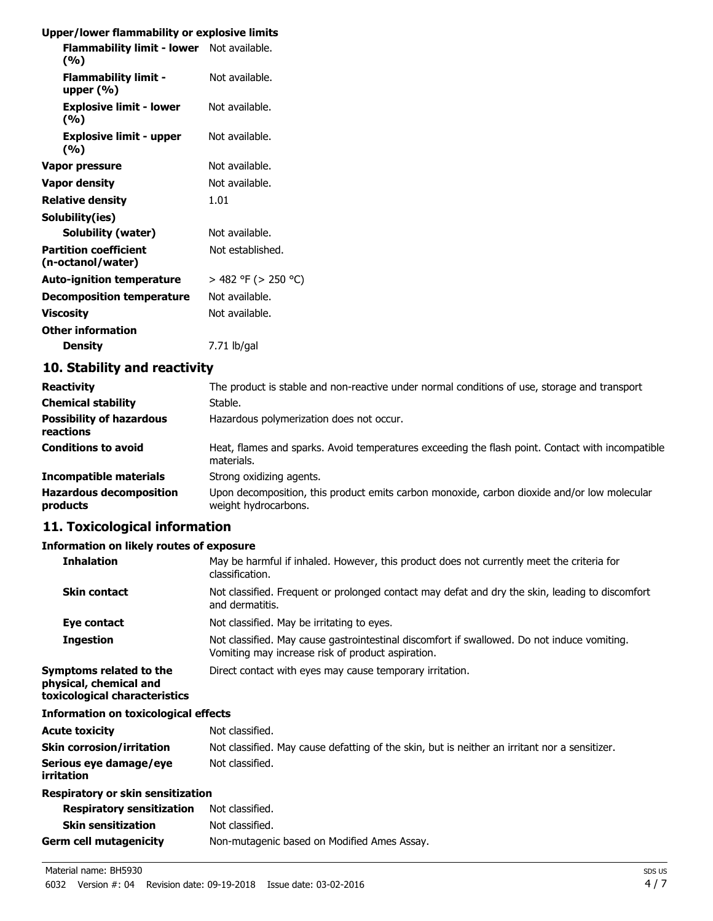## **Upper/lower flammability or explosive limits**

| opper/lower naminability or explosive limits      |                          |
|---------------------------------------------------|--------------------------|
| Flammability limit - lower Not available.<br>(%)  |                          |
| <b>Flammability limit -</b><br>upper $(\% )$      | Not available.           |
| <b>Explosive limit - lower</b><br>(%)             | Not available.           |
| <b>Explosive limit - upper</b><br>(%)             | Not available.           |
| Vapor pressure                                    | Not available.           |
| <b>Vapor density</b>                              | Not available.           |
| <b>Relative density</b>                           | 1.01                     |
| Solubility(ies)                                   |                          |
| <b>Solubility (water)</b>                         | Not available.           |
| <b>Partition coefficient</b><br>(n-octanol/water) | Not established.         |
| <b>Auto-ignition temperature</b>                  | $>$ 482 °F ( $>$ 250 °C) |
| <b>Decomposition temperature</b>                  | Not available.           |
| <b>Viscosity</b>                                  | Not available.           |
| <b>Other information</b>                          |                          |
| <b>Density</b>                                    | $7.71$ lb/gal            |
| 10 Ctability and roactivity                       |                          |

### **10. Stability and reactivity**

| <b>Reactivity</b>                            | The product is stable and non-reactive under normal conditions of use, storage and transport                        |
|----------------------------------------------|---------------------------------------------------------------------------------------------------------------------|
| <b>Chemical stability</b>                    | Stable.                                                                                                             |
| <b>Possibility of hazardous</b><br>reactions | Hazardous polymerization does not occur.                                                                            |
| <b>Conditions to avoid</b>                   | Heat, flames and sparks. Avoid temperatures exceeding the flash point. Contact with incompatible<br>materials.      |
| Incompatible materials                       | Strong oxidizing agents.                                                                                            |
| <b>Hazardous decomposition</b><br>products   | Upon decomposition, this product emits carbon monoxide, carbon dioxide and/or low molecular<br>weight hydrocarbons. |

# **11. Toxicological information**

### **Information on likely routes of exposure**

| <b>Inhalation</b>                                                                  | May be harmful if inhaled. However, this product does not currently meet the criteria for<br>classification.                                     |
|------------------------------------------------------------------------------------|--------------------------------------------------------------------------------------------------------------------------------------------------|
| <b>Skin contact</b>                                                                | Not classified. Frequent or prolonged contact may defat and dry the skin, leading to discomfort<br>and dermatitis.                               |
| Eye contact                                                                        | Not classified. May be irritating to eyes.                                                                                                       |
| <b>Ingestion</b>                                                                   | Not classified. May cause gastrointestinal discomfort if swallowed. Do not induce vomiting.<br>Vomiting may increase risk of product aspiration. |
| Symptoms related to the<br>physical, chemical and<br>toxicological characteristics | Direct contact with eyes may cause temporary irritation.                                                                                         |
| Information on toxicological effects                                               |                                                                                                                                                  |
| Acute toxicity                                                                     | Not classified.                                                                                                                                  |
| Skin corrosion/irritation                                                          | Not classified. May cause defatting of the skin, but is neither an irritant nor a sensitizer.                                                    |
| Serious eye damage/eye<br>irritation                                               | Not classified.                                                                                                                                  |
| Respiratory or skin sensitization                                                  |                                                                                                                                                  |
| <b>Respiratory sensitization</b>                                                   | Not classified.                                                                                                                                  |
| <b>Skin sensitization</b>                                                          | Not classified.                                                                                                                                  |
| Germ cell mutagenicity                                                             | Non-mutagenic based on Modified Ames Assay.                                                                                                      |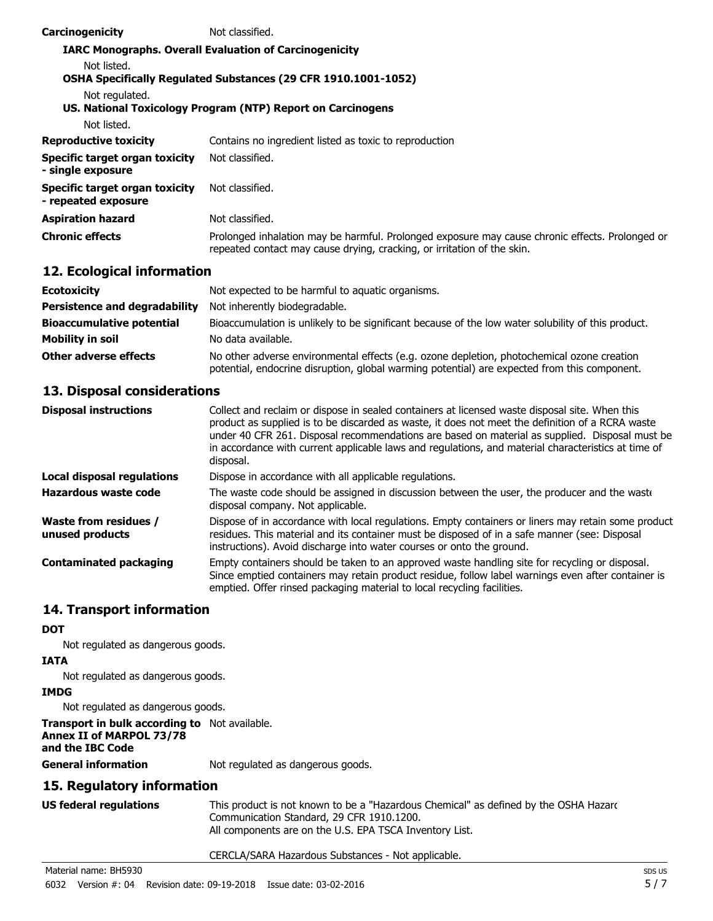| Carcinogenicity                                       | Not classified.                                                                                                                                                            |
|-------------------------------------------------------|----------------------------------------------------------------------------------------------------------------------------------------------------------------------------|
|                                                       | <b>IARC Monographs. Overall Evaluation of Carcinogenicity</b>                                                                                                              |
| Not listed.                                           |                                                                                                                                                                            |
|                                                       | <b>OSHA Specifically Regulated Substances (29 CFR 1910.1001-1052)</b>                                                                                                      |
| Not regulated.                                        |                                                                                                                                                                            |
|                                                       | US. National Toxicology Program (NTP) Report on Carcinogens                                                                                                                |
| Not listed.                                           |                                                                                                                                                                            |
| <b>Reproductive toxicity</b>                          | Contains no ingredient listed as toxic to reproduction                                                                                                                     |
| Specific target organ toxicity<br>- single exposure   | Not classified.                                                                                                                                                            |
| Specific target organ toxicity<br>- repeated exposure | Not classified.                                                                                                                                                            |
| <b>Aspiration hazard</b>                              | Not classified.                                                                                                                                                            |
| <b>Chronic effects</b>                                | Prolonged inhalation may be harmful. Prolonged exposure may cause chronic effects. Prolonged or<br>repeated contact may cause drying, cracking, or irritation of the skin. |

### **12. Ecological information**

| <b>Ecotoxicity</b>                   | Not expected to be harmful to aquatic organisms.                                                                                                                                           |  |
|--------------------------------------|--------------------------------------------------------------------------------------------------------------------------------------------------------------------------------------------|--|
| <b>Persistence and degradability</b> | Not inherently biodegradable.                                                                                                                                                              |  |
| <b>Bioaccumulative potential</b>     | Bioaccumulation is unlikely to be significant because of the low water solubility of this product.                                                                                         |  |
| <b>Mobility in soil</b>              | No data available.                                                                                                                                                                         |  |
| Other adverse effects                | No other adverse environmental effects (e.g. ozone depletion, photochemical ozone creation<br>potential, endocrine disruption, global warming potential) are expected from this component. |  |

### **13. Disposal considerations**

| <b>Disposal instructions</b>             | Collect and reclaim or dispose in sealed containers at licensed waste disposal site. When this<br>product as supplied is to be discarded as waste, it does not meet the definition of a RCRA waste<br>under 40 CFR 261. Disposal recommendations are based on material as supplied. Disposal must be<br>in accordance with current applicable laws and regulations, and material characteristics at time of<br>disposal. |  |
|------------------------------------------|--------------------------------------------------------------------------------------------------------------------------------------------------------------------------------------------------------------------------------------------------------------------------------------------------------------------------------------------------------------------------------------------------------------------------|--|
| <b>Local disposal regulations</b>        | Dispose in accordance with all applicable regulations.                                                                                                                                                                                                                                                                                                                                                                   |  |
| Hazardous waste code                     | The waste code should be assigned in discussion between the user, the producer and the waste<br>disposal company. Not applicable.                                                                                                                                                                                                                                                                                        |  |
| Waste from residues /<br>unused products | Dispose of in accordance with local regulations. Empty containers or liners may retain some product<br>residues. This material and its container must be disposed of in a safe manner (see: Disposal<br>instructions). Avoid discharge into water courses or onto the ground.                                                                                                                                            |  |
| <b>Contaminated packaging</b>            | Empty containers should be taken to an approved waste handling site for recycling or disposal.<br>Since emptied containers may retain product residue, follow label warnings even after container is<br>emptied. Offer rinsed packaging material to local recycling facilities.                                                                                                                                          |  |

# **14. Transport information**

#### **DOT**

Not regulated as dangerous goods.

#### **IATA**

Not regulated as dangerous goods.

### **IMDG**

Not regulated as dangerous goods.

### **Transport in bulk according to** Not available.

# **Annex II of MARPOL 73/78**

**and the IBC Code**

**General information** Not regulated as dangerous goods.

### **15. Regulatory information**

| US federal regulations | This product is not known to be a "Hazardous Chemical" as defined by the OSHA Hazarc |
|------------------------|--------------------------------------------------------------------------------------|
|                        | Communication Standard, 29 CFR 1910.1200.                                            |
|                        | All components are on the U.S. EPA TSCA Inventory List.                              |

#### CERCLA/SARA Hazardous Substances - Not applicable.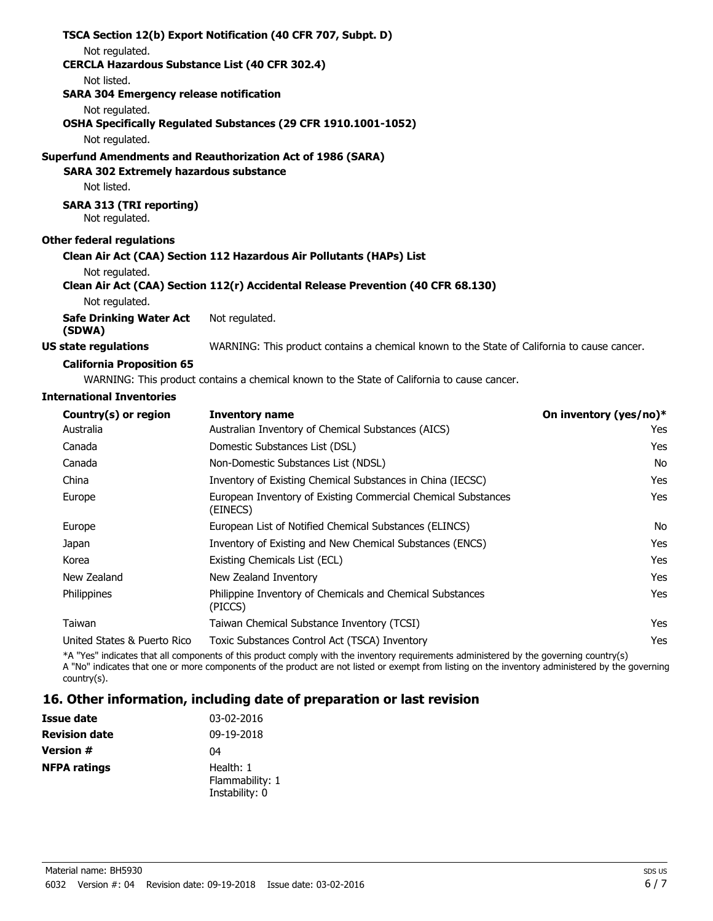|                                                       | TSCA Section 12(b) Export Notification (40 CFR 707, Subpt. D)                               |
|-------------------------------------------------------|---------------------------------------------------------------------------------------------|
| Not regulated.                                        |                                                                                             |
| <b>CERCLA Hazardous Substance List (40 CFR 302.4)</b> |                                                                                             |
| Not listed.                                           |                                                                                             |
| <b>SARA 304 Emergency release notification</b>        |                                                                                             |
| Not regulated.                                        |                                                                                             |
|                                                       | OSHA Specifically Regulated Substances (29 CFR 1910.1001-1052)                              |
| Not regulated.                                        |                                                                                             |
|                                                       | <b>Superfund Amendments and Reauthorization Act of 1986 (SARA)</b>                          |
| <b>SARA 302 Extremely hazardous substance</b>         |                                                                                             |
| Not listed.                                           |                                                                                             |
| <b>SARA 313 (TRI reporting)</b><br>Not regulated.     |                                                                                             |
| <b>Other federal regulations</b>                      |                                                                                             |
|                                                       | Clean Air Act (CAA) Section 112 Hazardous Air Pollutants (HAPs) List                        |
| Not regulated.                                        |                                                                                             |
|                                                       | Clean Air Act (CAA) Section 112(r) Accidental Release Prevention (40 CFR 68.130)            |
| Not regulated.                                        |                                                                                             |
| Safe Drinking Water Act<br>(SDWA)                     | Not regulated.                                                                              |
| US state regulations                                  | WARNING: This product contains a chemical known to the State of California to cause cancer. |
|                                                       |                                                                                             |

#### **California Proposition 65**

WARNING: This product contains a chemical known to the State of California to cause cancer.

#### **International Inventories**

| Country(s) or region        | <b>Inventory name</b>                                                     | On inventory (yes/no)* |
|-----------------------------|---------------------------------------------------------------------------|------------------------|
| Australia                   | Australian Inventory of Chemical Substances (AICS)                        | Yes                    |
| Canada                      | Domestic Substances List (DSL)                                            | Yes                    |
| Canada                      | Non-Domestic Substances List (NDSL)                                       | No                     |
| China                       | Inventory of Existing Chemical Substances in China (IECSC)                | Yes                    |
| Europe                      | European Inventory of Existing Commercial Chemical Substances<br>(EINECS) | <b>Yes</b>             |
| Europe                      | European List of Notified Chemical Substances (ELINCS)                    | No                     |
| Japan                       | Inventory of Existing and New Chemical Substances (ENCS)                  | Yes                    |
| Korea                       | Existing Chemicals List (ECL)                                             | <b>Yes</b>             |
| New Zealand                 | New Zealand Inventory                                                     | <b>Yes</b>             |
| Philippines                 | Philippine Inventory of Chemicals and Chemical Substances<br>(PICCS)      | <b>Yes</b>             |
| Taiwan                      | Taiwan Chemical Substance Inventory (TCSI)                                | Yes                    |
| United States & Puerto Rico | Toxic Substances Control Act (TSCA) Inventory                             | Yes                    |

\*A "Yes" indicates that all components of this product comply with the inventory requirements administered by the governing country(s) A "No" indicates that one or more components of the product are not listed or exempt from listing on the inventory administered by the governing country(s).

## **16. Other information, including date of preparation or last revision**

| Issue date           | 03-02-2016                                     |
|----------------------|------------------------------------------------|
| <b>Revision date</b> | 09-19-2018                                     |
| <b>Version #</b>     | 04                                             |
| <b>NFPA ratings</b>  | Health: 1<br>Flammability: 1<br>Instability: 0 |